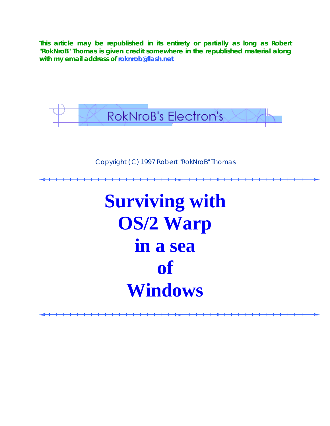**This article may be republished in its entirety or partially as long as Robert "RokNroB" Thomas is given credit somewhere in the republished material along with my email address of roknrob@flash.net**



Copyright (C) 1997 Robert "RokNroB" Thomas

**Surviving with OS/2 Warp in a sea of Windows**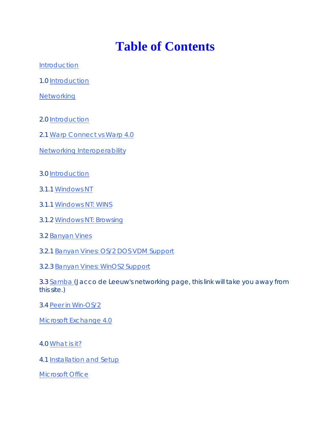## **Table of Contents**

Introduction

1.0 Introduction

**Networking** 

- 2.0 Introduction
- 2.1 Warp Connect vs Warp 4.0
- Networking Interoperability
- 3.0 Introduction
- 3.1.1 Windows NT
- 3.1.1 Windows NT: WINS
- 3.1.2 Windows NT: Browsing
- 3.2 Banyan Vines
- 3.2.1 Banyan Vines: OS/2 DOS VDM Support
- 3.2.3 Banyan Vines: WinOS2 Support
- 3.3 Samba (Jacco de Leeuw's networking page, this link will take you away from this site.)
- 3.4 Peer in Win-OS/2

Microsoft Exchange 4.0

## 4.0 What is it?

4.1 Installation and Setup

Microsoft Office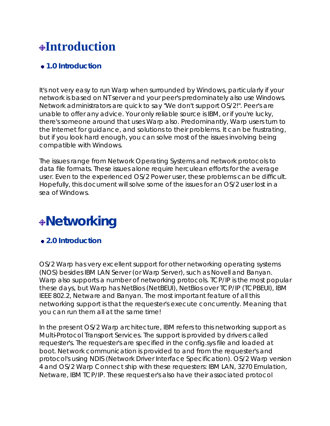## **Introduction**

## **1.0 Introduction**

It's not very easy to run Warp when surrounded by Windows, particularly if your network is based on NT server and your peer's predominately also use Windows. Network administrators are quick to say "We don't support OS/2!". Peer's are unable to offer any advice. Your only reliable source is IBM, or if you're lucky, there's someone around that uses Warp also. Predominantly, Warp users turn to the Internet for guidance, and solutions to their problems. It can be frustrating, but if you look hard enough, you can solve most of the issues involving being compatible with Windows.

The issues range from Network Operating Systems and network protocols to data file formats. These issues alone require herculean efforts for the average user. Even to the experienced OS/2 Power user, these problems can be difficult. Hopefully, this document will solve some of the issues for an OS/2 user lost in a sea of Windows.

## **Networking**

## **2.0 Introduction**

OS/2 Warp has very excellent support for other networking operating systems (NOS) besides IBM LAN Server (or Warp Server), such as Novell and Banyan. Warp also supports a number of networking protocols. TCP/IP is the most popular these days, but Warp has NetBios (NetBEUI), NetBios over TCP/IP (TCPBEUI), IBM IEEE 802.2, Netware and Banyan. The most important feature of all this networking support is that the requester's execute concurrently. Meaning that you can run them all at the same time!

In the present OS/2 Warp architecture, IBM refers to this networking support as Multi-Protocol Transport Services. The support is provided by drivers called requester's. The requester's are specified in the config.sys file and loaded at boot. Network communication is provided to and from the requester's and protocol's using NDIS (Network Driver Interface Specification). OS/2 Warp version 4 and OS/2 Warp Connect ship with these requesters: IBM LAN, 3270 Emulation, Netware, IBM TCP/IP. These requester's also have their associated protocol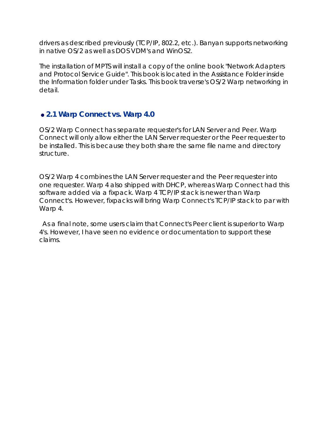drivers as described previously (TCP/IP, 802.2, etc.). Banyan supports networking in native OS/2 as well as DOS VDM's and WinOS2.

The installation of MPTS will install a copy of the online book "Network Adapters and Protocol Service Guide". This book is located in the Assistance Folder inside the Information folder under Tasks. This book traverse's OS/2 Warp networking in detail.

## **2.1 Warp Connect vs. Warp 4.0**

OS/2 Warp Connect has separate requester's for LAN Server and Peer. Warp Connect will only allow either the LAN Server requester or the Peer requester to be installed. This is because they both share the same file name and directory structure.

OS/2 Warp 4 combines the LAN Server requester and the Peer requester into one requester. Warp 4 also shipped with DHCP, whereas Warp Connect had this software added via a fixpack. Warp 4 TCP/IP stack is newer than Warp Connect's. However, fixpacks will bring Warp Connect's TCP/IP stack to par with Warp 4.

As a final note, some users claim that Connect's Peer client is superior to Warp 4's. However, I have seen no evidence or documentation to support these claims.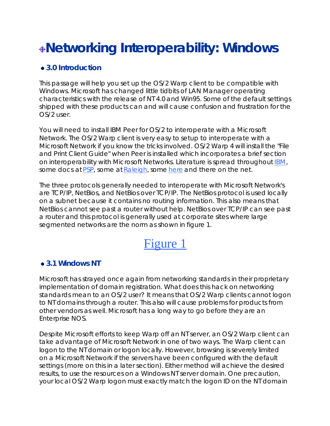# **Networking Interoperability: Windows**

## **3.0 Introduction**

This passage will help you set up the OS/2 Warp client to be compatible with Windows. Microsoft has changed little tidbits of LAN Manager operating characteristics with the release of NT 4.0 and Win95. Some of the default settings shipped with these products can and will cause confusion and frustration for the OS/2 user.

You will need to install IBM Peer for OS/2 to interoperate with a Microsoft Network. The OS/2 Warp client is very easy to setup to interoperate with a Microsoft Network if you know the tricks involved. OS/2 Warp 4 will install the "File and Print Client Guide" when Peer is installed which incorporates a brief section on interoperability with Microsoft Networks. Literature is spread throughout IBM, some docs at PSP, some at Raleigh, some here and there on the net.

The three protocols generally needed to interoperate with Microsoft Network's are TCP/IP, NetBios, and NetBios over TCP/IP. The NetBios protocol is used locally on a subnet because it contains no routing information. This also means that NetBios cannot see past a router without help. NetBios over TCP/IP can see past a router and this protocol is generally used at corporate sites where large segmented networks are the norm as shown in figure 1.

## Figure 1

## **3.1 Windows NT**

Microsoft has strayed once again from networking standards in their proprietary implementation of domain registration. What does this hack on networking standards mean to an OS/2 user? It means that OS/2 Warp clients cannot logon to NT domains through a router. This also will cause problems for products from other vendors as well. Microsoft has a long way to go before they are an Enterprise NOS.

Despite Microsoft efforts to keep Warp off an NT server, an OS/2 Warp client can take advantage of Microsoft Network in one of two ways. The Warp client can logon to the NT domain or logon locally. However, browsing is severely limited on a Microsoft Network if the servers have been configured with the default settings (more on this in a later section). Either method will achieve the desired results, to use the resources on a Windows NT server domain. One precaution, your local OS/2 Warp logon must exactly match the logon ID on the NT domain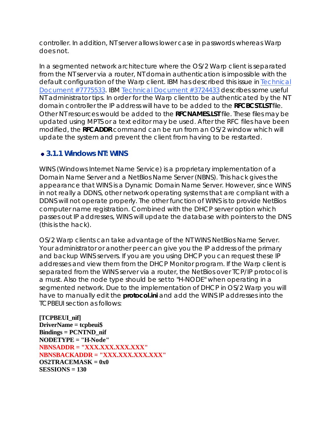controller. In addition, NT server allows lower case in passwords whereas Warp does not.

In a segmented network architecture where the OS/2 Warp client is separated from the NT server via a router, NT domain authentication is impossible with the default configuration of the Warp client. IBM has described this issue in Technical Document #7775533. IBM Technical Document #3724433 describes some useful NT administrator tips. In order for the Warp client to be authenticated by the NT domain controller the IP address will have to be added to the *RFCBCST.LST* file. Other NT resources would be added to the *RFCNAMES.LST* file. These files may be updated using MPTS or a text editor may be used. After the RFC files have been modified, the **RFCADDR** command can be run from an OS/2 window which will update the system and prevent the client from having to be restarted.

## **3.1.1 Windows NT: WINS**

WINS (Windows Internet Name Service) is a proprietary implementation of a Domain Name Server and a NetBios Name Server (NBNS). This hack gives the appearance that WINS is a Dynamic Domain Name Server. However, since WINS in not really a DDNS, other network operating systems that are compliant with a DDNS will not operate properly. The other function of WINS is to provide NetBios computer name registration. Combined with the DHCP server option which passes out IP addresses, WINS will update the database with pointers to the DNS (this is the hack).

OS/2 Warp clients can take advantage of the NT WINS NetBios Name Server. Your administrator or another peer can give you the IP address of the primary and backup WINS servers. If you are you using DHCP you can request these IP addresses and view them from the DHCP Monitor program. If the Warp client is separated from the WINS server via a router, the NetBios over TCP/IP protocol is a must. Also the node type should be set to "H-NODE" when operating in a segmented network. Due to the implementation of DHCP in OS/2 Warp you will have to manually edit the **protocol.ini** and add the WINS IP addresses into the TCPBEUI section as follows:

**[TCPBEUI\_nif] DriverName = tcpbeui\$ Bindings = PCNTND\_nif NODETYPE = "H-Node" NBNSADDR = "XXX.XXX.XXX.XXX" NBNSBACKADDR = "XXX.XXX.XXX.XXX" OS2TRACEMASK = 0x0 SESSIONS = 130**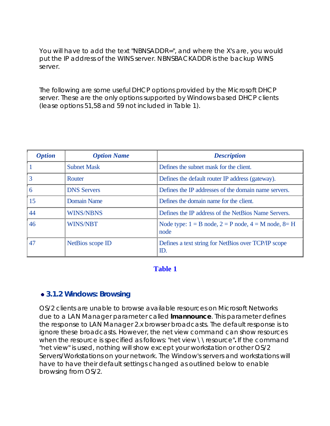You will have to add the text "NBNSADDR=", and where the X's are, you would put the IP address of the WINS server. NBNSBACKADDR is the backup WINS server.

The following are some useful DHCP options provided by the Microsoft DHCP server. These are the only options supported by Windows based DHCP clients (lease options 51,58 and 59 not included in Table 1).

| <b>Option</b> | <b>Option Name</b> | <b>Description</b>                                                   |
|---------------|--------------------|----------------------------------------------------------------------|
|               | <b>Subnet Mask</b> | Defines the subnet mask for the client.                              |
| 3             | Router             | Defines the default router IP address (gateway).                     |
| 6             | <b>DNS Servers</b> | Defines the IP addresses of the domain name servers.                 |
| 15            | <b>Domain Name</b> | Defines the domain name for the client.                              |
| 44            | <b>WINS/NBNS</b>   | Defines the IP address of the NetBios Name Servers.                  |
| 46            | <b>WINS/NBT</b>    | Node type: $1 = B$ node, $2 = P$ node, $4 = M$ node, $8 = H$<br>node |
| 47            | NetBios scope ID   | Defines a text string for NetBios over TCP/IP scope<br>ID.           |

## **Table 1**

#### **3.1.2 Windows: Browsing**

OS/2 clients are unable to browse available resources on Microsoft Networks due to a LAN Manager parameter called **lmannounce**. This parameter defines the response to LAN Manager 2.x browser broadcasts. The default response is to ignore these broadcasts. However, the net view command can show resources when the resource is specified as follows: "net view \\resource"**.** If the command "net view" is used, nothing will show except your workstation or other OS/2 Servers/Workstations on your network. The Window's servers and workstations will have to have their default settings changed as outlined below to enable browsing from OS/2.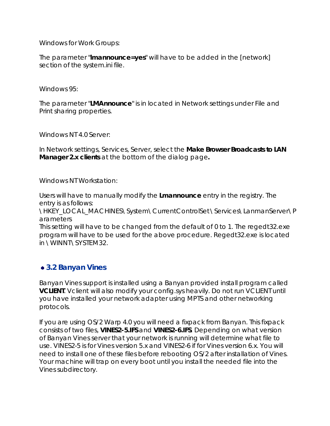Windows for Work Groups:

The parameter "**lmannounce=yes**" will have to be added in the [network] section of the system.ini file.

Windows 95:

The parameter "**LMAnnounce**" is in located in Network settings under File and Print sharing properties.

Windows NT 4.0 Server:

In Network settings, Services, Server, select the **Make Browser Broadcasts to LAN Manager 2.x clients** at the bottom of the dialog page**.**

Windows NT Workstation:

Users will have to manually modify the **Lmannounce** entry in the registry. The entry is as follows:

\HKEY\_LOCAL\_MACHINES\System\CurrentControlSet\Services\LanmanServer\P arameters

This setting will have to be changed from the default of 0 to 1. The regedt32.exe program will have to be used for the above procedure. Regedt32.exe is located in \WINNT\SYSTEM32.

## **3.2 Banyan Vines**

Banyan Vines support is installed using a Banyan provided install program called **VCLIENT**. Vclient will also modify your config.sys heavily. Do not run VCLIENT until you have installed your network adapter using MPTS and other networking protocols.

If you are using OS/2 Warp 4.0 you will need a fixpack from Banyan. This fixpack consists of two files, **VINES2-5.IFS** and **VINES2-6.IFS**. Depending on what version of Banyan Vines server that your network is running will determine what file to use. VINES2-5 is for Vines version 5.x and VINES2-6 if for Vines version 6.x. You will need to install one of these files before rebooting OS/2 after installation of Vines. Your machine will trap on every boot until you install the needed file into the Vines subdirectory.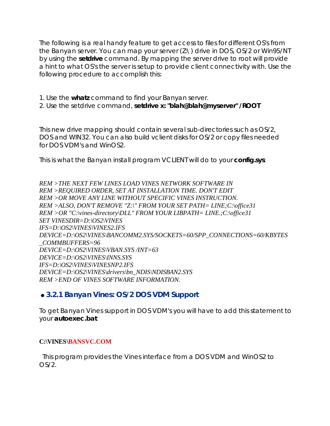The following is a real handy feature to get access to files for different OS's from the Banyan server. You can map your server (Z:\) drive in DOS, OS/2 or Win95/NT by using the **setdrive** command. By mapping the server drive to root will provide a hint to what OS's the server is setup to provide client connectivity with. Use the following procedure to accomplish this:

1. Use the **whatz** command to find your Banyan server.

2. Use the setdrive command, **setdrive x: "blah@blah@myserver" /ROOT**

This new drive mapping should contain several sub-directories such as OS/2, DOS and WIN32. You can also build vclient disks for OS/2 or copy files needed for DOS VDM's and WinOS2.

This is what the Banyan install program VCLIENT will do to your **config***.***sys**:

*REM >THE NEXT FEW LINES LOAD VINES NETWORK SOFTWARE IN REM >REQUIRED ORDER, SET AT INSTALLATION TIME. DON'T EDIT REM >OR MOVE ANY LINE WITHOUT SPECIFIC VINES INSTRUCTION. REM >ALSO, DON'T REMOVE "Z:\" FROM YOUR SET PATH= LINE;C:\office31 REM >OR "C:\vines-directory\DLL" FROM YOUR LIBPATH= LINE.;C:\office31 SET VINESDIR=D:\OS2\VINES IFS=D:\OS2\VINES\VINES2.IFS DEVICE=D:\OS2\VINES\BANCOMM2.SYS/SOCKETS=60/SPP\_CONNECTIONS=60/KBYTES \_COMMBUFFERS=96 DEVICE=D:\OS2\VINES\VBAN.SYS /INT=63 DEVICE=D:\OS2\VINES\INNS.SYS IFS=D:\OS2\VINES\VINESNP2.IFS DEVICE=D:\OS2\VINES\drivers\bn\_NDIS\NDISBAN2.SYS REM >END OF VINES SOFTWARE INFORMATION.*

## **3.2.1 Banyan Vines: OS/2 DOS VDM Support**

To get Banyan Vines support in DOS VDM's you will have to add this statement to your **autoexec.bat**:

#### **C:\VINES\BANSVC.COM**

This program provides the Vines interface from a DOS VDM and WinOS2 to  $OS/2$ .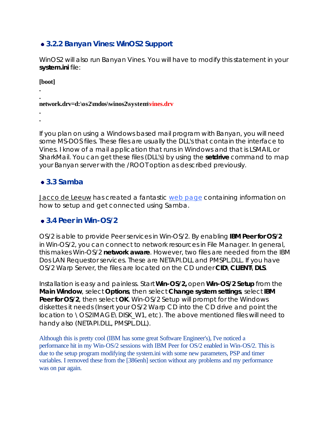## **3.2.2 Banyan Vines: WinOS2 Support**

WinOS2 will also run Banyan Vines. You will have to modify this statement in your **system.ini** file:

**[boot]**

**.**

**. .**

**. network.drv=d:\os2\mdos\winos2\system\vines.drv**

If you plan on using a Windows based mail program with Banyan, you will need some MS-DOS files. These files are usually the DLL's that contain the interface to Vines. I know of a mail application that runs in Windows and that is LSMAIL or SharkMail. You can get these files (DLL's) by using the **setdrive** command to map your Banyan server with the /ROOT option as described previously.

## **3.3 Samba**

Jacco de Leeuw has created a fantastic web page containing information on how to setup and get connected using Samba.

## **3.4 Peer in Win-OS/2**

OS/2 is able to provide Peer services in Win-OS/2. By enabling **IBM Peer for OS/2** in Win-OS/2, you can connect to network resources in File Manager. In general, this makes Win-OS/2 **network aware**. However, two files are needed from the IBM Dos LAN Requestor services. These are NETAPI.DLL and PMSPL.DLL. If you have OS/2 Warp Server, the files are located on the CD under **CID\CLIENT\DLS**.

Installation is easy and painless. Start **Win-OS/2,** open **Win-OS/2 Setup** from the **Main Window**, select **Options**, then select **Change system settings**, select **IBM Peer for OS/2**, then select **OK**. Win-OS/2 Setup will prompt for the Windows diskettes it needs (Insert your OS/2 Warp CD into the CD drive and point the location to \OS2IMAGE\DISK\_W1, etc). The above mentioned files will need to handy also (NETAPI.DLL, PMSPL.DLL).

Although this is pretty cool (IBM has some great Software Engineer's), I've noticed a performance hit in my Win-OS/2 sessions with IBM Peer for OS/2 enabled in Win-OS/2. This is due to the setup program modifying the system.ini with some new parameters, PSP and timer variables. I removed these from the [386enh] section without any problems and my performance was on par again.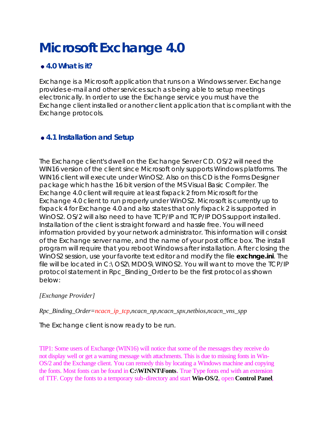# **Microsoft Exchange 4.0**

## **4.0 What is it?**

Exchange is a Microsoft application that runs on a Windows server. Exchange provides e-mail and other services such as being able to setup meetings electronically. In order to use the Exchange service you must have the Exchange client installed or another client application that is compliant with the Exchange protocols.

## **4.1 Installation and Setup**

The Exchange client's dwell on the Exchange Server CD. OS/2 will need the WIN16 version of the client since Microsoft only supports Windows platforms. The WIN16 client will execute under WinOS2. Also on this CD is the Forms Designer package which has the 16 bit version of the MS Visual Basic Compiler. The Exchange 4.0 client will require at least fixpack 2 from Microsoft for the Exchange 4.0 client to run properly under WinOS2. Microsoft is currently up to fixpack 4 for Exchange 4.0 and also states that only fixpack 2 is supported in WinOS2. OS/2 will also need to have TCP/IP and TCP/IP DOS support installed. Installation of the client is straight forward and hassle free. You will need information provided by your network administrator. This information will consist of the Exchange server name, and the name of your post office box. The install program will require that you reboot Windows after installation. After closing the WinOS2 session, use your favorite text editor and modify the file *exchnge.ini*. The file will be located in C:\OS2\MDOS\WINOS2. You will want to move the TCP/IP protocol statement in Rpc\_Binding\_Order to be the first protocol as shown below:

## *[Exchange Provider]*

*Rpc\_Binding\_Order=ncacn\_ip\_tcp,ncacn\_np,ncacn\_spx,netbios,ncacn\_vns\_spp*

The Exchange client is now ready to be run.

TIP1: Some users of Exchange (WIN16) will notice that some of the messages they receive do not display well or get a warning message with attachments. This is due to missing fonts in Win-OS/2 and the Exchange client. You can remedy this by locating a Windows machine and copying the fonts. Most fonts can be found in **C:\WINNT\Fonts.** True Type fonts end with an extension of TTF. Copy the fonts to a temporary sub-directory and start **Win-OS/2,** open **Control Panel**,